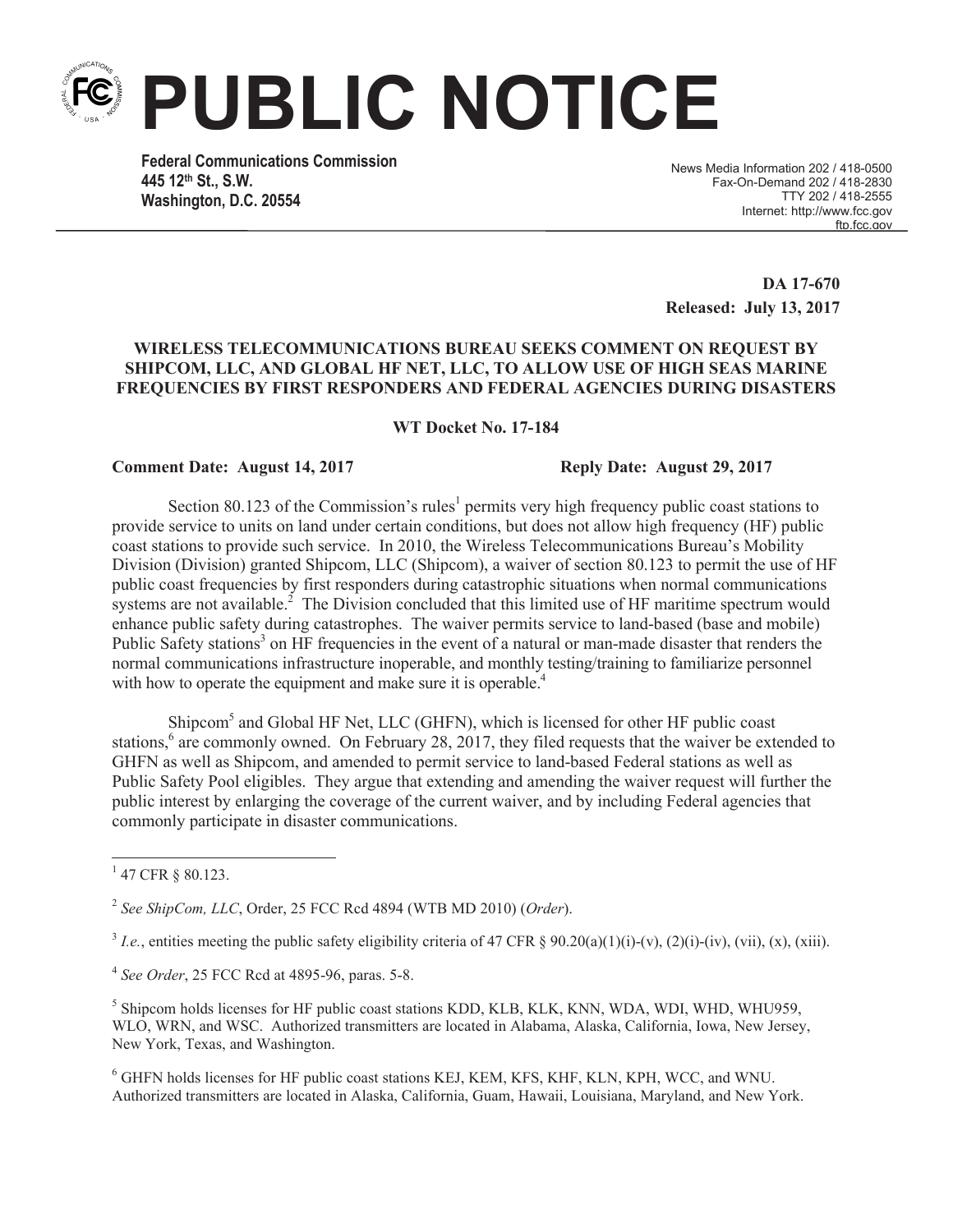**PUBLIC NOTICE**

**Federal Communications Commission 445 12th St., S.W. Washington, D.C. 20554**

News Media Information 202 / 418-0500 Fax-On-Demand 202 / 418-2830 TTY 202 / 418-2555 Internet: http://www.fcc.gov ftn.fcc.gov

**DA 17-670 Released: July 13, 2017**

## **WIRELESS TELECOMMUNICATIONS BUREAU SEEKS COMMENT ON REQUEST BY SHIPCOM, LLC, AND GLOBAL HF NET, LLC, TO ALLOW USE OF HIGH SEAS MARINE FREQUENCIES BY FIRST RESPONDERS AND FEDERAL AGENCIES DURING DISASTERS**

**WT Docket No. 17-184**

## **Comment Date: August 14, 2017 Reply Date: August 29, 2017**

Section 80.123 of the Commission's rules<sup>1</sup> permits very high frequency public coast stations to provide service to units on land under certain conditions, but does not allow high frequency (HF) public coast stations to provide such service. In 2010, the Wireless Telecommunications Bureau's Mobility Division (Division) granted Shipcom, LLC (Shipcom), a waiver of section 80.123 to permit the use of HF public coast frequencies by first responders during catastrophic situations when normal communications systems are not available.<sup>2</sup> The Division concluded that this limited use of HF maritime spectrum would enhance public safety during catastrophes. The waiver permits service to land-based (base and mobile) Public Safety stations<sup>3</sup> on HF frequencies in the event of a natural or man-made disaster that renders the normal communications infrastructure inoperable, and monthly testing/training to familiarize personnel with how to operate the equipment and make sure it is operable.<sup>4</sup>

Shipcom<sup>5</sup> and Global HF Net, LLC (GHFN), which is licensed for other HF public coast stations,<sup>6</sup> are commonly owned. On February 28, 2017, they filed requests that the waiver be extended to GHFN as well as Shipcom, and amended to permit service to land-based Federal stations as well as Public Safety Pool eligibles. They argue that extending and amending the waiver request will further the public interest by enlarging the coverage of the current waiver, and by including Federal agencies that commonly participate in disaster communications.

<sup>5</sup> Shipcom holds licenses for HF public coast stations KDD, KLB, KLK, KNN, WDA, WDI, WHD, WHU959, WLO, WRN, and WSC. Authorized transmitters are located in Alabama, Alaska, California, Iowa, New Jersey, New York, Texas, and Washington.

<sup>6</sup> GHFN holds licenses for HF public coast stations KEJ, KEM, KFS, KHF, KLN, KPH, WCC, and WNU. Authorized transmitters are located in Alaska, California, Guam, Hawaii, Louisiana, Maryland, and New York.

 $1$  47 CFR § 80.123.

<sup>2</sup> *See ShipCom, LLC*, Order, 25 FCC Rcd 4894 (WTB MD 2010) (*Order*).

<sup>&</sup>lt;sup>3</sup> *I.e.*, entities meeting the public safety eligibility criteria of 47 CFR § 90.20(a)(1)(i)-(v), (2)(i)-(iv), (vii), (x), (xiii).

<sup>4</sup> *See Order*, 25 FCC Rcd at 4895-96, paras. 5-8.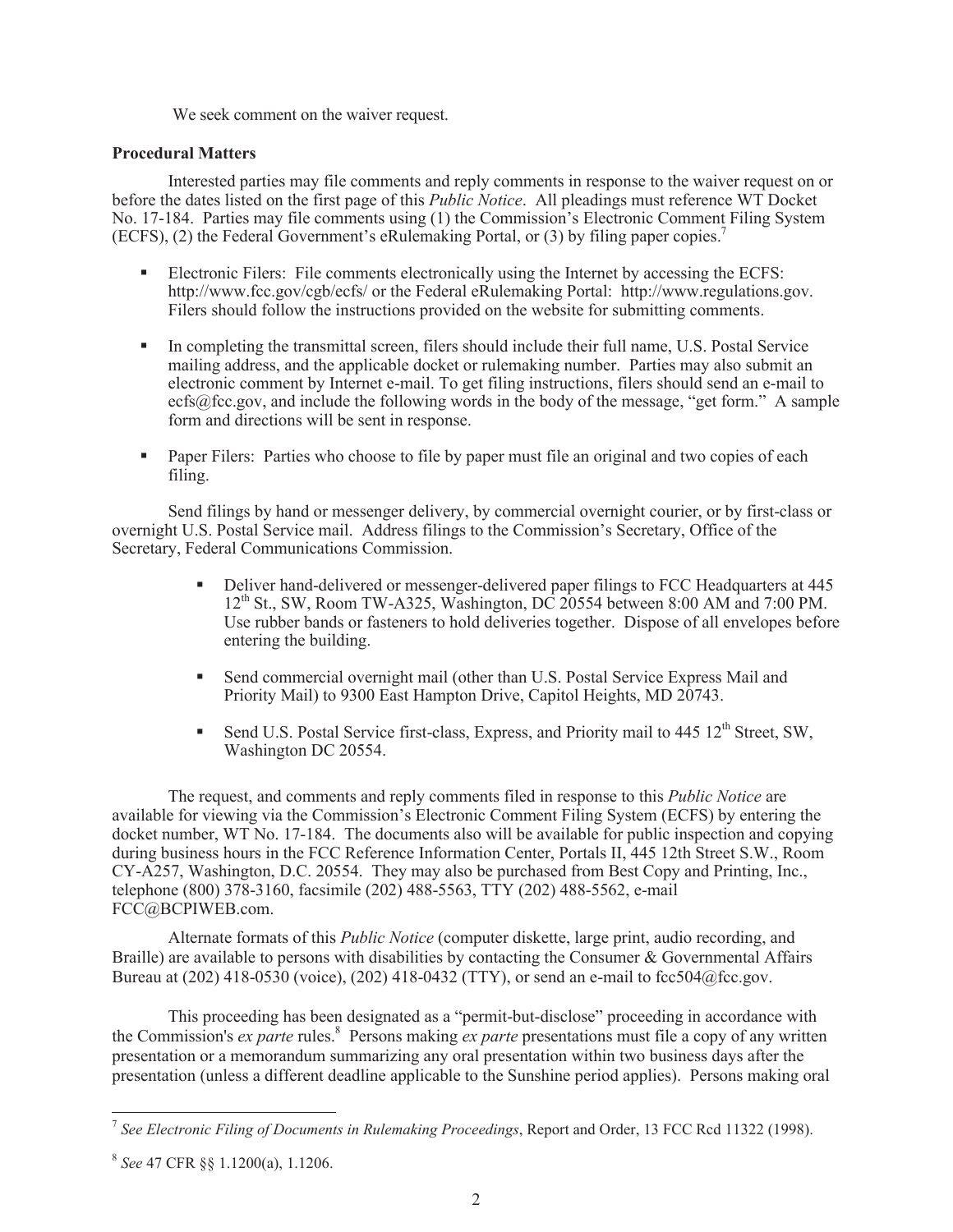We seek comment on the waiver request.

## **Procedural Matters**

Interested parties may file comments and reply comments in response to the waiver request on or before the dates listed on the first page of this *Public Notice*. All pleadings must reference WT Docket No. 17-184. Parties may file comments using (1) the Commission's Electronic Comment Filing System (ECFS), (2) the Federal Government's eRulemaking Portal, or (3) by filing paper copies.<sup>7</sup>

- Electronic Filers: File comments electronically using the Internet by accessing the ECFS: http://www.fcc.gov/cgb/ecfs/ or the Federal eRulemaking Portal: http://www.regulations.gov. Filers should follow the instructions provided on the website for submitting comments.
- In completing the transmittal screen, filers should include their full name, U.S. Postal Service mailing address, and the applicable docket or rulemaking number. Parties may also submit an electronic comment by Internet e-mail. To get filing instructions, filers should send an e-mail to ecfs@fcc.gov, and include the following words in the body of the message, "get form." A sample form and directions will be sent in response.
- Paper Filers: Parties who choose to file by paper must file an original and two copies of each filing.

Send filings by hand or messenger delivery, by commercial overnight courier, or by first-class or overnight U.S. Postal Service mail. Address filings to the Commission's Secretary, Office of the Secretary, Federal Communications Commission.

- Deliver hand-delivered or messenger-delivered paper filings to FCC Headquarters at 445  $12<sup>th</sup>$  St., SW, Room TW-A325, Washington, DC 20554 between 8:00 AM and 7:00 PM. Use rubber bands or fasteners to hold deliveries together. Dispose of all envelopes before entering the building.
- Send commercial overnight mail (other than U.S. Postal Service Express Mail and Priority Mail) to 9300 East Hampton Drive, Capitol Heights, MD 20743.
- Send U.S. Postal Service first-class, Express, and Priority mail to 445  $12<sup>th</sup>$  Street, SW, Washington DC 20554.

The request, and comments and reply comments filed in response to this *Public Notice* are available for viewing via the Commission's Electronic Comment Filing System (ECFS) by entering the docket number, WT No. 17-184. The documents also will be available for public inspection and copying during business hours in the FCC Reference Information Center, Portals II, 445 12th Street S.W., Room CY-A257, Washington, D.C. 20554. They may also be purchased from Best Copy and Printing, Inc., telephone (800) 378-3160, facsimile (202) 488-5563, TTY (202) 488-5562, e-mail FCC@BCPIWEB.com.

Alternate formats of this *Public Notice* (computer diskette, large print, audio recording, and Braille) are available to persons with disabilities by contacting the Consumer  $\&$  Governmental Affairs Bureau at (202) 418-0530 (voice), (202) 418-0432 (TTY), or send an e-mail to fcc504@fcc.gov.

This proceeding has been designated as a "permit-but-disclose" proceeding in accordance with the Commission's *ex parte* rules.<sup>8</sup> Persons making *ex parte* presentations must file a copy of any written presentation or a memorandum summarizing any oral presentation within two business days after the presentation (unless a different deadline applicable to the Sunshine period applies). Persons making oral

<sup>7</sup> *See Electronic Filing of Documents in Rulemaking Proceedings*, Report and Order, 13 FCC Rcd 11322 (1998).

<sup>8</sup> *See* 47 CFR §§ 1.1200(a), 1.1206.